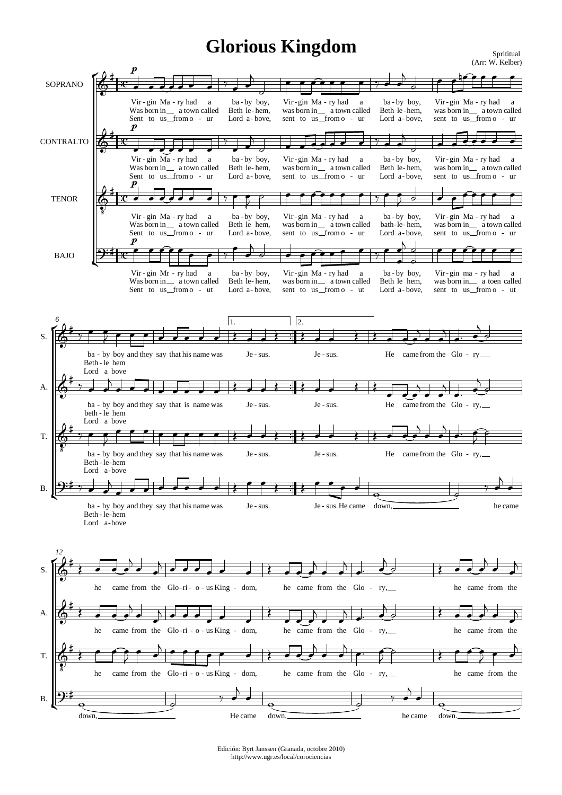## **Glorious Kingdom** Spritiual

3  $\frac{1}{2}$ 1  $\overline{a}$ 1  $\overline{a}$ 3  $\ddot{ }$  $\overline{\overline{\overline{c}}}$   $\overline{\overline{\overline{e}}}$ (Arr: W. Kelber) SOPRANO CONTRALTO **TENOR** BAJO ŕ Ľ  $\Phi$ ŧ Vir - gin Ma - ry had Was born in \_\_ a town called Sent to us from o - ur p  $\overline{\phantom{a}}$ J 2 a  $\overline{\phantom{a}}$ 7 ba by - boy, Beth le-hem, Lord a-bove,  $\overline{\phantom{a}}$  $\overline{\phantom{a}}$  $\overline{a}$  $\exists$ Vir-gin Ma - ry had was born in \_\_ a town called sent to us from o - ur ē  $\overline{\phantom{0}}$ a  $e$   $e$   $e$   $e$   $y$ ba by - boy, Beth le-hem, Lord a-bove,  $\overline{\bullet}$  $\frac{1}{\bullet}$  $\overline{a}$  $\frac{1}{2}$ Vir-gin Ma-ry had was born in a town called sent to us from o - ur P  $\overline{\bullet}$ کا a  $\frac{1}{2}$ 6  $\sharp$ Vir - gin Ma - ry had Was born in \_\_ a town called Sent to us from o - ur p  $\overline{\phantom{a}}$  $\overline{\phantom{a}}$ a  $\overline{\phantom{0}}$  $\frac{1}{7}$ ba by - boy, Beth le-hem, Lord a-bove,  $\overline{\phantom{a}}$  $\overline{\phantom{a}}$ Ŋ  $\exists$ Vir-gin Ma - ry had was born in \_\_ a town called sent to us from o - ur  $\overline{\phantom{a}}$  $\overline{\cdot}$ a  $\overline{\phantom{a}}$ ba by - boy, Beth le-hem, Lord a-bove,  $\overline{\bullet}$  $\frac{1}{\bullet}$  $\overline{a}$  $\exists$ Vir-gin Ma-ry had was born in a town called sent to us from o - ur  $\overline{\bullet}$  $\overline{\bullet}$  $\frac{1}{\epsilon}$ a  $\overline{\phantom{a}}$  ,  $\overline{\phantom{a}}$ 6 z  $\sharp$ Vir - gin Ma - ry had Was born in \_\_ a town called Sent to us from o - ur p  $\overline{\phantom{a}}$  $\overline{\cdot}$ a  $\overrightarrow{z}$   $\overrightarrow{z}$   $\overrightarrow{y}$ ba by - boy, Beth le hem, Lord a-bove, ē  $\overline{\epsilon}$ ₹  $\overline{\rho}$ Vir-gin Ma - ry had was born in \_\_ a town called sent to us from o - ur é  $\overline{\mathbf{e}}$ a  $\frac{1}{2}$ ba by - boy, bath-le-hem, Lord a-bove, ē  $\overline{\mathbf{r}}$ ₹  $\frac{1}{2}$ Vir-gin Ma-ry had was born in a town called sent to us from o - ur  $\overline{\phantom{a}}$  $\overline{\bullet}$ é a  $\frac{1}{2}$ <u>ຈະ‡</u> Vir - gin Mr - ry had Was born in \_\_ a town called Sent to us from o - ut p<br>P  $\overline{\phantom{a}}$ a  $\frac{1}{\sqrt{2}}$  $\bullet$   $\bullet$   $\circ$ ba by - boy, Beth le-hem, Lord a-bove, e  $\frac{1}{\bullet}$  $\overline{a}$  $\overline{d}$ Vir-gin Ma-ry had was born in \_\_ a town called sent to us from o - ut  $\overline{\bullet}$  $\overline{\cdot}$ a  $\frac{1}{2}$ 7 ba by - boy, Beth le hem, Lord a-bove,  $\overline{\phantom{a}}$  $\overline{\phantom{a}}$  $\frac{1}{\epsilon}$  $\overline{b}$  $\overline{d}$  $\overline{\phantom{a}}$ Vir-gin ma - ry had was sent P born to in us  $\overline{\phantom{a}}$ a from toen o a called - ut  $\epsilon$  , , , , *6* 1.  $\frac{1}{2}$  $\frac{1}{2}$  $\frac{1}{2}$  $\frac{1}{2}$  $\frac{1}{2}$  $\frac{1}{2}$  $\frac{1}{2}$  $\frac{1}{2}$  $\sqrt{2}$ . S. A. T. B. É Ľ 6 ŧ  $\frac{1}{7}$ ba - by boy and they say that his name was Beth - le hem Lord a bove  $\overline{\phantom{a}}$  $\overline{\mathbf{f}}$  $\overline{2}$  $\overline{\phantom{0}}$  $\overline{\phantom{a}}$  $\overline{\phantom{a}}$  $\frac{1}{2}$ Je - sus.  $\overline{\phantom{a}}$  $\overline{\phantom{a}}$  $\left\langle \cdot\right\rangle$ Je - sus.  $\overline{\phantom{a}}$  $\overline{\phantom{a}}$  $\frac{1}{2}$ He came from the Glo - ry  $\overline{\phantom{a}}$  $\frac{1}{2}$  $\overline{a}$  $\overline{\phantom{a}}$  $\frac{1}{\bullet}$  $\overline{a}$  $\frac{1}{\cdot}$  $\frac{1}{\cdot}$  $\overline{a}$  $\frac{1}{2}$ 6 ŧ  $\frac{1}{\gamma}$ ba by - boy and they say that is name was beth - le hem Lord a bove  $\overline{\phantom{a}}$  $\frac{1}{\bullet}$  $\overline{a}$  $\overline{\phantom{a}}$  $\overline{\cdot}$  ,  $\overline{\phantom{a}}$  $\overline{\phantom{a}}$ ≹ Je - sus.  $\overline{\bullet}$  $\overline{\bullet}$  $\left\langle \cdot\right\rangle$ Je - sus.  $\overline{\bullet}$  $\overline{\bullet}$  $\left\langle \right|$  $H$  came from the Glo - ry,  $\overline{\phantom{a}}$ ₹  $\overline{N}$  $\overline{\phantom{0}}$  $\overline{\phantom{a}}$  $\overline{b}$  $\frac{1}{\cdot}$  $\overline{a}$  $\frac{1}{2}$ <u>ර</u>  $\frac{1}{8}$ ŧ  $\frac{1}{\gamma}$ ba - by boy and they say that his name was Beth - le-hem Lord a-bove  $\overline{\bullet}$  $\overline{\bullet}$ ₹  $\overline{\phantom{a}}$  $\overline{\phantom{a}}$  $\overrightarrow{ }$ Je - sus.  $\overline{\bullet}$  $\overline{\bullet}$  $\left\langle \cdot\right\rangle$ Je - sus.  $\overline{\bullet}$  $\overline{\bullet}$  $\frac{1}{2}$ He came from the Glo - ry,  $\overline{\phantom{a}}$  $\frac{1}{\epsilon}$  $\overline{a}$  $\overline{\bullet}$  $\frac{1}{\bullet}$  $\overline{a}$  $\frac{1}{\cdot}$ Ŕ ₹  $\frac{1}{2}$  $2$ i y ba - by boy and they say that his name was Beth - le-hem Lord a-bove  $\overline{\phantom{a}}$  $\frac{1}{\bullet}$  $\mathbf{A}$  $\overline{\phantom{a}}$  $\overline{\phantom{a}}$  $\overline{\phantom{a}}$  $\overline{\cdot}$   $\overline{\cdot}$ Je - sus. e  $\overline{\phantom{a}}$  $\left\langle \begin{array}{c} \cdot \end{array} \right|$ Je - sus. He came r  $\bullet$  $\overline{\phantom{0}}$ down,  $\overline{\mathbf{e}}$   $\overline{\mathbf{e}}$ .<br>7 he came  $\overline{\phantom{a}}$  $\overline{a}$  $\overline{\bullet}$ *12* S. A. T. B. É Ľ  $\Phi$ ŧ ≹ he came from the Glo-ri- o-us King - dom,  $\overline{\phantom{a}}$  $\frac{1}{\epsilon}$  $\overline{a}$  $\overline{\bullet}$  $\overline{\phantom{a}}$  $\overline{a}$  $\overrightarrow{a}$  $\overline{\phantom{a}}$ ≹ he came from the Glo - ry, J 2  $\frac{1}{\epsilon}$  $\overline{a}$  $\overline{\phantom{a}}$  $\overline{\phantom{a}}$  $\mathbf{A}$  $\frac{1}{\cdot}$  $\frac{1}{\epsilon}$  $\overline{a}$  $\circ$   $\rightarrow$ he came from the <u>. .</u>  $\frac{1}{2}$  $\overline{a}$  $\overline{\bullet}$  $\overline{\phantom{a}}$  $\overline{a}$ 6 ŧ ≹ he came from the Glo  $\overline{\phantom{a}}$  $\frac{1}{2}$  $\overline{a}$  $\overline{\bullet}$  $\overline{\phantom{a}}$  $\overline{N}$ -ri - o - us King - dom,  $\overline{\phantom{a}}$  $\overline{\phantom{a}}$  $\overline{\phantom{a}}$  $\overline{\phantom{a}}$ ≹ he came from the Glo - ry,  $\overline{\cdot}$  $\overline{\phantom{a}}$  $\overline{b}$  $\overline{\phantom{a}}$  $\overline{\phantom{a}}$  $\overline{b}$  $\frac{1}{2}$  $\frac{1}{\epsilon}$  $\overline{a}$ ₹ ≹ he came from the <u>. .</u>  $\frac{1}{2}$  $\overline{a}$  $\overline{\bullet}$  $\overline{\phantom{a}}$  $\overline{b}$ 6  $\frac{1}{8}$ ŧ ≹ he came from the Glo-ri - o - us King - dom,  $\overline{\cdot}$ ř ₹  $\bullet$  $\overline{\phantom{a}}$  $\overline{a}$  $\cdot \cdot \cdot \cdot$  $\overline{\phantom{a}}$ ≹ he came from the Glo - ry, J - 1  $\frac{1}{\epsilon}$ h  $\overline{\phantom{a}}$  $\overline{\phantom{a}}$  $\overline{a}$  $\overline{\mathbf{r}}$ ŕ ₹  $\circ$   $\left| \cdot \right|$ he came from the  $\overline{\cdot}$ è ₹  $\overline{\phantom{a}}$  $\overline{\phantom{a}}$  $\overline{a}$  $\overline{9:1}$ down,  $\overline{\mathbf{e}}$   $\overline{\mathbf{e}}$ 7 He came  $\overline{\phantom{a}}$  $\overline{a}$  $\overline{\phantom{a}}$ down,  $\overline{\mathbf{e}}$   $\overline{\mathbf{e}}$  $\overline{\mathbf{u}}$ he came  $\frac{1}{\bullet}$  $\overline{a}$  $\overline{\phantom{a}}$ down.